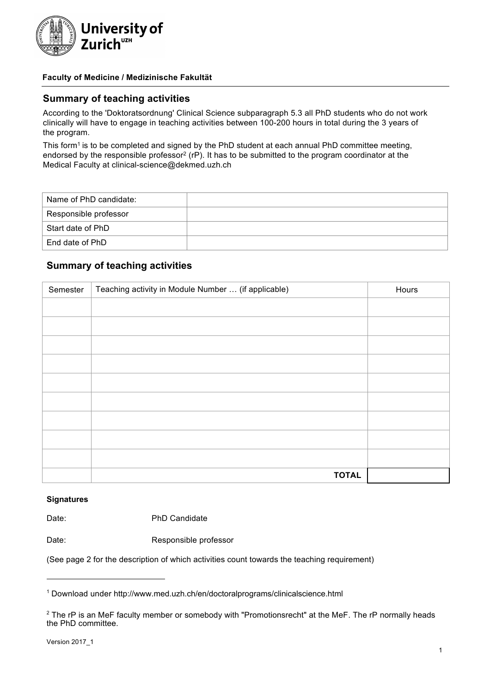

### **Faculty of Medicine / Medizinische Fakultät**

### **Summary of teaching activities**

According to the 'Doktoratsordnung' Clinical Science subparagraph 5.3 all PhD students who do not work clinically will have to engage in teaching activities between 100-200 hours in total during the 3 years of the program.

This form<sup>1</sup> is to be completed and signed by the PhD student at each annual PhD committee meeting, endorsed by the responsible professor<sup>2</sup> (rP). It has to be submitted to the program coordinator at the Medical Faculty at clinical-science@dekmed.uzh.ch

| Name of PhD candidate: |  |
|------------------------|--|
| Responsible professor  |  |
| Start date of PhD      |  |
| End date of PhD        |  |

### **Summary of teaching activities**

| Semester | Teaching activity in Module Number  (if applicable) | Hours |
|----------|-----------------------------------------------------|-------|
|          |                                                     |       |
|          |                                                     |       |
|          |                                                     |       |
|          |                                                     |       |
|          |                                                     |       |
|          |                                                     |       |
|          |                                                     |       |
|          |                                                     |       |
|          |                                                     |       |
|          | <b>TOTAL</b>                                        |       |

#### **Signatures**

Date: PhD Candidate

Date: Responsible professor

(See page 2 for the description of which activities count towards the teaching requirement)

<sup>1</sup> Download under http://www.med.uzh.ch/en/doctoralprograms/clinicalscience.html

<sup>&</sup>lt;sup>2</sup> The rP is an MeF faculty member or somebody with "Promotionsrecht" at the MeF. The rP normally heads the PhD committee.